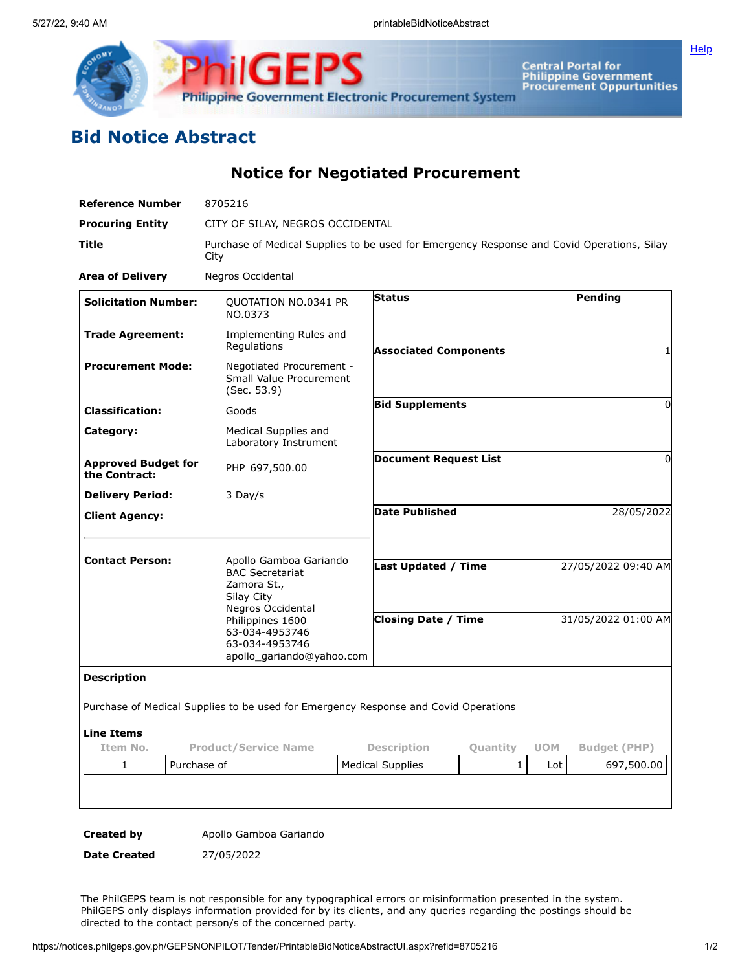

**ilGEPS Philippine Government Electronic Procurement System** 

Central Portal for<br>Philippine Government<br>Procurement Oppurtunities

## **Bid Notice Abstract**

**Notice for Negotiated Procurement**

| <b>Reference Number</b>                     | 8705216                                                                                            |                                                |                              |            |                     |
|---------------------------------------------|----------------------------------------------------------------------------------------------------|------------------------------------------------|------------------------------|------------|---------------------|
| <b>Procuring Entity</b>                     | CITY OF SILAY, NEGROS OCCIDENTAL                                                                   |                                                |                              |            |                     |
| Title                                       | Purchase of Medical Supplies to be used for Emergency Response and Covid Operations, Silay<br>City |                                                |                              |            |                     |
| <b>Area of Delivery</b>                     | Negros Occidental                                                                                  |                                                |                              |            |                     |
| <b>Solicitation Number:</b>                 | QUOTATION NO.0341 PR<br>NO.0373                                                                    | <b>Status</b>                                  |                              |            | Pending             |
| <b>Trade Agreement:</b>                     | Implementing Rules and<br>Regulations                                                              |                                                | <b>Associated Components</b> |            | 1                   |
| <b>Procurement Mode:</b>                    | Negotiated Procurement -<br>Small Value Procurement<br>(Sec. 53.9)                                 |                                                |                              |            |                     |
| <b>Classification:</b>                      | Goods                                                                                              |                                                | <b>Bid Supplements</b>       |            | $\Omega$            |
| Category:                                   | Medical Supplies and<br>Laboratory Instrument                                                      |                                                |                              |            |                     |
| <b>Approved Budget for</b><br>the Contract: | PHP 697,500.00                                                                                     | <b>Document Request List</b>                   |                              |            | 0                   |
| <b>Delivery Period:</b>                     | 3 Day/s                                                                                            |                                                |                              |            |                     |
| <b>Client Agency:</b>                       |                                                                                                    | <b>Date Published</b>                          |                              |            | 28/05/2022          |
| <b>Contact Person:</b>                      | Apollo Gamboa Gariando<br><b>BAC Secretariat</b><br>Zamora St.,<br>Silay City<br>Negros Occidental | <b>Last Updated / Time</b>                     |                              |            | 27/05/2022 09:40 AM |
|                                             | Philippines 1600<br>63-034-4953746<br>63-034-4953746<br>apollo gariando@yahoo.com                  | <b>Closing Date / Time</b>                     |                              |            | 31/05/2022 01:00 AM |
| <b>Description</b>                          |                                                                                                    |                                                |                              |            |                     |
|                                             | Purchase of Medical Supplies to be used for Emergency Response and Covid Operations                |                                                |                              |            |                     |
| <b>Line Items</b>                           |                                                                                                    |                                                |                              |            |                     |
| Item No.<br><b>Product/Service Name</b>     |                                                                                                    | <b>Description</b><br>Quantity<br>$\mathbf{1}$ |                              | <b>UOM</b> | <b>Budget (PHP)</b> |
| 1                                           | Purchase of                                                                                        | <b>Medical Supplies</b>                        |                              | Lot        | 697,500.00          |
|                                             |                                                                                                    |                                                |                              |            |                     |
|                                             |                                                                                                    |                                                |                              |            |                     |

**Created by** Apollo Gamboa Gariando

**Date Created** 27/05/2022

The PhilGEPS team is not responsible for any typographical errors or misinformation presented in the system. PhilGEPS only displays information provided for by its clients, and any queries regarding the postings should be directed to the contact person/s of the concerned party.